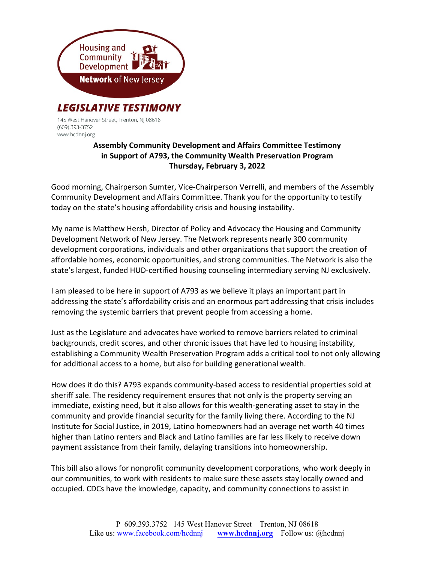

145 West Hanover Street, Trenton, NJ 08618 (609) 393-3752 www.hcdnnj.org

## Assembly Community Development and Affairs Committee Testimony in Support of A793, the Community Wealth Preservation Program Thursday, February 3, 2022

Good morning, Chairperson Sumter, Vice-Chairperson Verrelli, and members of the Assembly Community Development and Affairs Committee. Thank you for the opportunity to testify today on the state's housing affordability crisis and housing instability.

My name is Matthew Hersh, Director of Policy and Advocacy the Housing and Community Development Network of New Jersey. The Network represents nearly 300 community development corporations, individuals and other organizations that support the creation of affordable homes, economic opportunities, and strong communities. The Network is also the state's largest, funded HUD-certified housing counseling intermediary serving NJ exclusively.

I am pleased to be here in support of A793 as we believe it plays an important part in addressing the state's affordability crisis and an enormous part addressing that crisis includes removing the systemic barriers that prevent people from accessing a home.

Just as the Legislature and advocates have worked to remove barriers related to criminal backgrounds, credit scores, and other chronic issues that have led to housing instability, establishing a Community Wealth Preservation Program adds a critical tool to not only allowing for additional access to a home, but also for building generational wealth.

How does it do this? A793 expands community-based access to residential properties sold at sheriff sale. The residency requirement ensures that not only is the property serving an immediate, existing need, but it also allows for this wealth-generating asset to stay in the community and provide financial security for the family living there. According to the NJ Institute for Social Justice, in 2019, Latino homeowners had an average net worth 40 times higher than Latino renters and Black and Latino families are far less likely to receive down payment assistance from their family, delaying transitions into homeownership.

This bill also allows for nonprofit community development corporations, who work deeply in our communities, to work with residents to make sure these assets stay locally owned and occupied. CDCs have the knowledge, capacity, and community connections to assist in